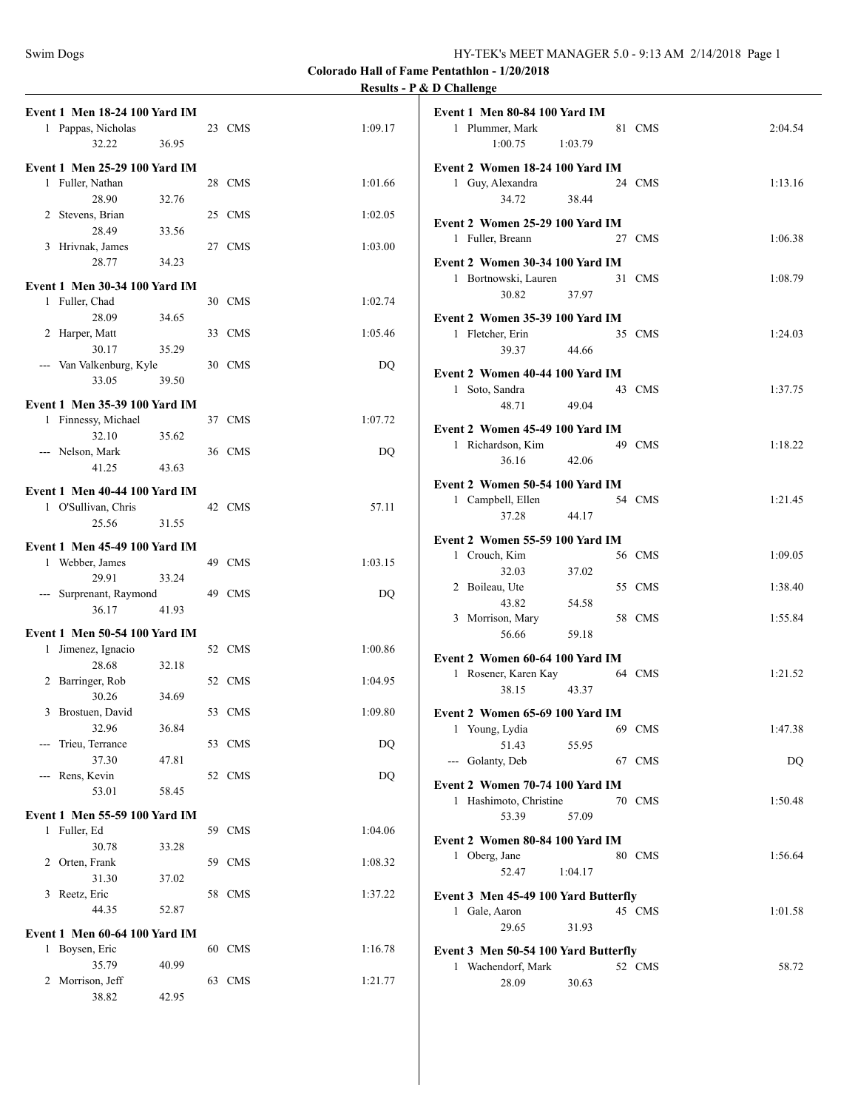|                                                     |       |        |         | <b>Results - P &amp; D Challenge</b> |
|-----------------------------------------------------|-------|--------|---------|--------------------------------------|
| <b>Event 1 Men 18-24 100 Yard IM</b>                |       |        |         | Event 1 Men                          |
| 1 Pappas, Nicholas                                  |       | 23 CMS | 1:09.17 | 1 Plumme                             |
| 32.22                                               | 36.95 |        |         | 1:                                   |
| <b>Event 1 Men 25-29 100 Yard IM</b>                |       |        |         | <b>Event 2 Wor</b>                   |
| 1 Fuller, Nathan                                    |       | 28 CMS | 1:01.66 | 1 Guy, Al                            |
| 28.90                                               | 32.76 |        |         |                                      |
| 2 Stevens, Brian                                    |       | 25 CMS | 1:02.05 |                                      |
| 28.49                                               | 33.56 |        |         | <b>Event 2 Wor</b>                   |
| 3 Hrivnak, James                                    |       | 27 CMS | 1:03.00 | 1 Fuller, I                          |
| 28.77                                               | 34.23 |        |         | <b>Event 2 Wor</b>                   |
| <b>Event 1 Men 30-34 100 Yard IM</b>                |       |        |         | 1 Bortnov                            |
| 1 Fuller, Chad                                      |       | 30 CMS | 1:02.74 |                                      |
| 28.09                                               | 34.65 |        |         | Event 2 Wor                          |
| 2 Harper, Matt                                      |       | 33 CMS | 1:05.46 | 1 Fletcher                           |
| 30.17                                               | 35.29 |        |         |                                      |
| --- Van Valkenburg, Kyle                            |       | 30 CMS | DO      |                                      |
| 33.05                                               | 39.50 |        |         | <b>Event 2 Wor</b>                   |
|                                                     |       |        |         | 1 Soto, Sa                           |
| Event 1 Men 35-39 100 Yard IM                       |       |        |         |                                      |
| 1 Finnessy, Michael                                 |       | 37 CMS | 1:07.72 | <b>Event 2 Wor</b>                   |
| 32.10                                               | 35.62 |        |         | 1 Richard                            |
| --- Nelson, Mark                                    |       | 36 CMS | DQ      |                                      |
| 41.25                                               | 43.63 |        |         |                                      |
| <b>Event 1 Men 40-44 100 Yard IM</b>                |       |        |         | <b>Event 2 Wor</b>                   |
| 1 O'Sullivan, Chris                                 |       | 42 CMS | 57.11   | 1 Campbe                             |
| 25.56                                               | 31.55 |        |         |                                      |
| <b>Event 1 Men 45-49 100 Yard IM</b>                |       |        |         | <b>Event 2 Wor</b>                   |
| 1 Webber, James                                     |       | 49 CMS | 1:03.15 | 1 Crouch.                            |
| 29.91                                               | 33.24 |        |         |                                      |
| --- Surprenant, Raymond                             |       | 49 CMS | DQ      | 2 Boileau                            |
| 36.17                                               | 41.93 |        |         |                                      |
|                                                     |       |        |         | 3 Morrisc                            |
| Event 1 Men 50-54 100 Yard IM<br>1 Jimenez, Ignacio |       | 52 CMS | 1:00.86 |                                      |
| 28.68                                               | 32.18 |        |         | <b>Event 2 Wor</b>                   |
| 2 Barringer, Rob                                    |       | 52 CMS | 1:04.95 | 1 Rosener                            |
| 30.26                                               | 34.69 |        |         |                                      |
| 3 Brostuen, David                                   |       | 53 CMS | 1:09.80 | Event 2 Wor                          |
| 32.96                                               | 36.84 |        |         | 1 Young,                             |
| --- Trieu, Terrance                                 |       | 53 CMS | DQ      |                                      |
| 37.30                                               | 47.81 |        |         | --- Golanty                          |
| --- Rens, Kevin                                     |       | 52 CMS | DQ      |                                      |
| 53.01                                               | 58.45 |        |         | <b>Event 2 Wor</b>                   |
|                                                     |       |        |         | 1 Hashim                             |
| <b>Event 1 Men 55-59 100 Yard IM</b>                |       |        |         |                                      |
| 1 Fuller, Ed                                        | 33.28 | 59 CMS | 1:04.06 | <b>Event 2 Wor</b>                   |
| 30.78<br>2 Orten, Frank                             |       | 59 CMS | 1:08.32 | 1 Oberg,.                            |
| 31.30                                               | 37.02 |        |         |                                      |
| 3 Reetz, Eric                                       |       | 58 CMS | 1:37.22 |                                      |
| 44.35                                               | 52.87 |        |         | Event 3 Men<br>1 Gale, A             |
|                                                     |       |        |         |                                      |
| <b>Event 1 Men 60-64 100 Yard IM</b>                |       |        |         |                                      |
| 1 Boysen, Eric                                      |       | 60 CMS | 1:16.78 | <b>Event 3 Men</b>                   |
| 35.79                                               | 40.99 |        |         | 1 Wachen                             |
| 2 Morrison, Jeff                                    |       | 63 CMS | 1:21.77 |                                      |
| 38.82                                               | 42.95 |        |         |                                      |

| <b>Event 1 Men 80-84 100 Yard IM</b><br>1 Plummer, Mark                                                                                                                                                                                                                                                                                                                                                                                                                                    |         | 81 CMS | 2:04.54 |
|--------------------------------------------------------------------------------------------------------------------------------------------------------------------------------------------------------------------------------------------------------------------------------------------------------------------------------------------------------------------------------------------------------------------------------------------------------------------------------------------|---------|--------|---------|
| 1:00.75                                                                                                                                                                                                                                                                                                                                                                                                                                                                                    | 1:03.79 |        |         |
|                                                                                                                                                                                                                                                                                                                                                                                                                                                                                            |         |        |         |
| Event 2 Women 18-24 100 Yard IM                                                                                                                                                                                                                                                                                                                                                                                                                                                            |         |        |         |
| Guy, Alexandra<br>1                                                                                                                                                                                                                                                                                                                                                                                                                                                                        |         | 24 CMS | 1:13.16 |
| 34.72                                                                                                                                                                                                                                                                                                                                                                                                                                                                                      | 38.44   |        |         |
| Event 2 Women 25-29 100 Yard IM                                                                                                                                                                                                                                                                                                                                                                                                                                                            |         |        |         |
| 1 Fuller, Breann                                                                                                                                                                                                                                                                                                                                                                                                                                                                           |         | 27 CMS | 1:06.38 |
|                                                                                                                                                                                                                                                                                                                                                                                                                                                                                            |         |        |         |
| Event 2 Women 30-34 100 Yard IM                                                                                                                                                                                                                                                                                                                                                                                                                                                            |         | 31 CMS |         |
| 1 Bortnowski, Lauren<br>30.82                                                                                                                                                                                                                                                                                                                                                                                                                                                              | 37.97   |        | 1:08.79 |
|                                                                                                                                                                                                                                                                                                                                                                                                                                                                                            |         |        |         |
| Event 2 Women 35-39 100 Yard IM                                                                                                                                                                                                                                                                                                                                                                                                                                                            |         |        |         |
| 1 Fletcher, Erin                                                                                                                                                                                                                                                                                                                                                                                                                                                                           |         | 35 CMS | 1:24.03 |
| 39.37                                                                                                                                                                                                                                                                                                                                                                                                                                                                                      | 44.66   |        |         |
| Event 2 Women 40-44 100 Yard IM                                                                                                                                                                                                                                                                                                                                                                                                                                                            |         |        |         |
| 1 Soto, Sandra                                                                                                                                                                                                                                                                                                                                                                                                                                                                             |         | 43 CMS | 1:37.75 |
| 48.71                                                                                                                                                                                                                                                                                                                                                                                                                                                                                      | 49.04   |        |         |
|                                                                                                                                                                                                                                                                                                                                                                                                                                                                                            |         |        |         |
| Event 2 Women 45-49 100 Yard IM                                                                                                                                                                                                                                                                                                                                                                                                                                                            |         | 49 CMS |         |
| 1 Richardson, Kim                                                                                                                                                                                                                                                                                                                                                                                                                                                                          |         |        | 1:18.22 |
| 36.16                                                                                                                                                                                                                                                                                                                                                                                                                                                                                      | 42.06   |        |         |
| Event 2 Women 50-54 100 Yard IM                                                                                                                                                                                                                                                                                                                                                                                                                                                            |         |        |         |
| 1 Campbell, Ellen                                                                                                                                                                                                                                                                                                                                                                                                                                                                          |         | 54 CMS | 1:21.45 |
| 37.28                                                                                                                                                                                                                                                                                                                                                                                                                                                                                      | 44.17   |        |         |
| Event 2 Women 55-59 100 Yard IM                                                                                                                                                                                                                                                                                                                                                                                                                                                            |         |        |         |
| 1 Crouch, Kim                                                                                                                                                                                                                                                                                                                                                                                                                                                                              |         | 56 CMS | 1:09.05 |
| 32.03                                                                                                                                                                                                                                                                                                                                                                                                                                                                                      | 37.02   |        |         |
| 2 Boileau, Ute                                                                                                                                                                                                                                                                                                                                                                                                                                                                             |         | 55 CMS | 1:38.40 |
| 43.82                                                                                                                                                                                                                                                                                                                                                                                                                                                                                      | 54.58   |        |         |
| 3 Morrison, Mary                                                                                                                                                                                                                                                                                                                                                                                                                                                                           |         | 58 CMS | 1:55.84 |
| 56.66                                                                                                                                                                                                                                                                                                                                                                                                                                                                                      | 59.18   |        |         |
| Event 2 Women 60-64 100 Yard IM                                                                                                                                                                                                                                                                                                                                                                                                                                                            |         |        |         |
| 1 Rosener, Karen Kay                                                                                                                                                                                                                                                                                                                                                                                                                                                                       |         | 64 CMS | 1:21.52 |
| 38.15                                                                                                                                                                                                                                                                                                                                                                                                                                                                                      | 43.37   |        |         |
|                                                                                                                                                                                                                                                                                                                                                                                                                                                                                            |         |        |         |
| Event 2 Women 65-69 100 Yard IM                                                                                                                                                                                                                                                                                                                                                                                                                                                            |         |        |         |
| 1<br>Young, Lydia                                                                                                                                                                                                                                                                                                                                                                                                                                                                          |         | 69 CMS | 1:47.38 |
| 51.43                                                                                                                                                                                                                                                                                                                                                                                                                                                                                      | 55.95   |        |         |
| Golanty, Deb<br>$\frac{1}{2} \left( \frac{1}{2} \right) \left( \frac{1}{2} \right) \left( \frac{1}{2} \right) \left( \frac{1}{2} \right) \left( \frac{1}{2} \right) \left( \frac{1}{2} \right) \left( \frac{1}{2} \right) \left( \frac{1}{2} \right) \left( \frac{1}{2} \right) \left( \frac{1}{2} \right) \left( \frac{1}{2} \right) \left( \frac{1}{2} \right) \left( \frac{1}{2} \right) \left( \frac{1}{2} \right) \left( \frac{1}{2} \right) \left( \frac{1}{2} \right) \left( \frac$ |         | 67 CMS | DQ      |
| Event 2 Women 70-74 100 Yard IM                                                                                                                                                                                                                                                                                                                                                                                                                                                            |         |        |         |
| Hashimoto, Christine<br>1                                                                                                                                                                                                                                                                                                                                                                                                                                                                  |         | 70 CMS | 1:50.48 |
| 53.39                                                                                                                                                                                                                                                                                                                                                                                                                                                                                      | 57.09   |        |         |
| Event 2 Women 80-84 100 Yard IM                                                                                                                                                                                                                                                                                                                                                                                                                                                            |         |        |         |
| Oberg, Jane<br>$\mathbf{1}$                                                                                                                                                                                                                                                                                                                                                                                                                                                                |         | 80 CMS | 1:56.64 |
| 52.47                                                                                                                                                                                                                                                                                                                                                                                                                                                                                      | 1:04.17 |        |         |
|                                                                                                                                                                                                                                                                                                                                                                                                                                                                                            |         |        |         |
| Event 3 Men 45-49 100 Yard Butterfly                                                                                                                                                                                                                                                                                                                                                                                                                                                       |         |        |         |
| 1 Gale, Aaron                                                                                                                                                                                                                                                                                                                                                                                                                                                                              |         | 45 CMS | 1:01.58 |
| 29.65                                                                                                                                                                                                                                                                                                                                                                                                                                                                                      | 31.93   |        |         |
| Event 3 Men 50-54 100 Yard Butterfly                                                                                                                                                                                                                                                                                                                                                                                                                                                       |         |        |         |
| 1 Wachendorf, Mark                                                                                                                                                                                                                                                                                                                                                                                                                                                                         |         | 52 CMS | 58.72   |
| 28.09                                                                                                                                                                                                                                                                                                                                                                                                                                                                                      | 30.63   |        |         |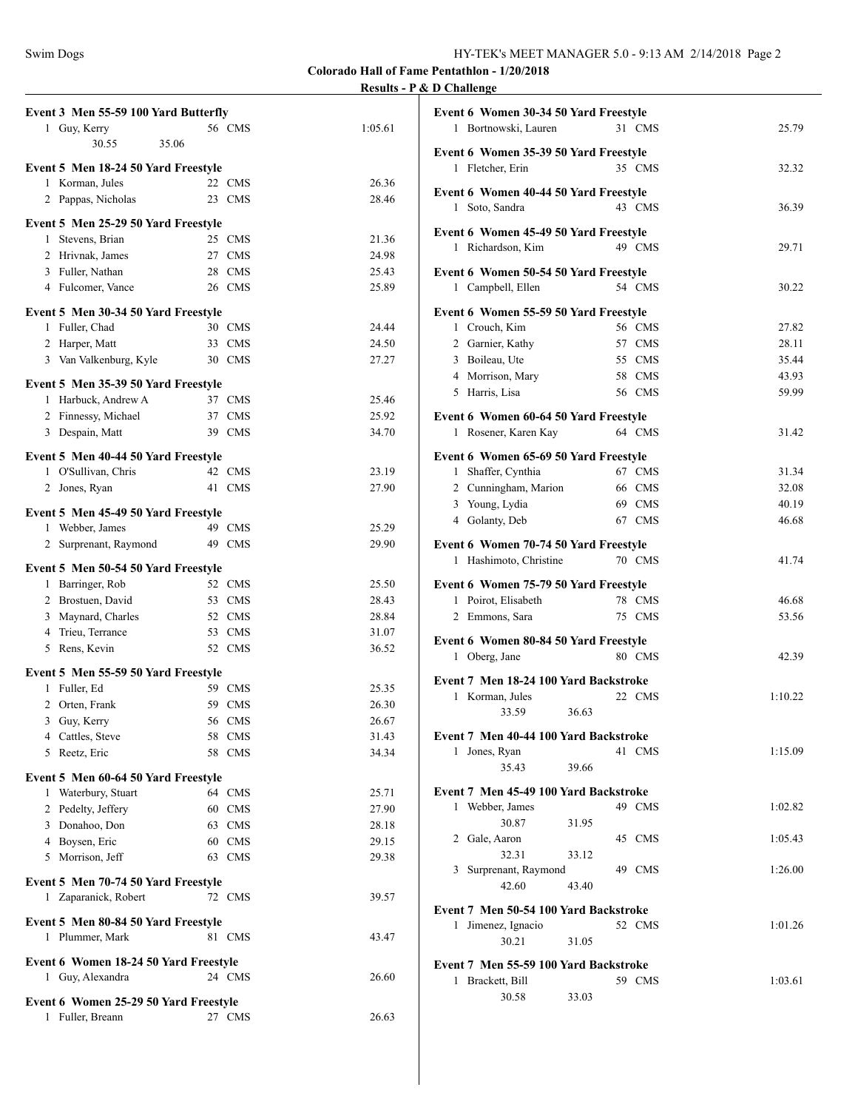| Event 3 Men 55-59 100 Yard Butterfly                   |                  |                | Even                 |
|--------------------------------------------------------|------------------|----------------|----------------------|
| 1 Guy, Kerry<br>30.55<br>35.06                         | 56 CMS           | 1:05.61        | $\mathbf{1}$         |
|                                                        |                  |                | Even                 |
| Event 5 Men 18-24 50 Yard Freestyle<br>1 Korman, Jules | 22 CMS           | 26.36          | $\mathbf{1}$         |
| 2 Pappas, Nicholas                                     | 23 CMS           | 28.46          | Even                 |
| Event 5 Men 25-29 50 Yard Freestyle                    |                  |                | $\mathbf{1}$         |
| 1 Stevens, Brian                                       | 25 CMS           | 21.36          | Even                 |
| 2 Hrivnak, James                                       | 27 CMS           | 24.98          | 1                    |
| 3 Fuller, Nathan                                       | 28 CMS           | 25.43          | Even                 |
| 4 Fulcomer, Vance                                      | 26 CMS           | 25.89          | $\mathbf{1}$         |
| Event 5 Men 30-34 50 Yard Freestyle                    |                  |                | Even                 |
| 1 Fuller, Chad                                         | 30 CMS           | 24.44          | 1                    |
| 2 Harper, Matt                                         | 33 CMS           | 24.50          | $\overline{c}$       |
| 3 Van Valkenburg, Kyle                                 | 30 CMS           | 27.27          | 3                    |
| Event 5 Men 35-39 50 Yard Freestyle                    |                  |                | $\overline{4}$       |
| 1 Harbuck, Andrew A                                    | 37 CMS           | 25.46          | 5                    |
| 2 Finnessy, Michael                                    | 37 CMS           | 25.92          | Even                 |
| 3 Despain, Matt                                        | 39 CMS           | 34.70          | 1                    |
| Event 5 Men 40-44 50 Yard Freestyle                    |                  |                | Even                 |
| 1 O'Sullivan, Chris                                    | 42 CMS           | 23.19          | 1                    |
| 2 Jones, Ryan                                          | 41 CMS           | 27.90          | 2                    |
| Event 5 Men 45-49 50 Yard Freestyle                    |                  |                | 3                    |
| 1 Webber, James                                        | 49 CMS           | 25.29          | $\overline{4}$       |
| 2 Surprenant, Raymond                                  | 49 CMS           | 29.90          | Even                 |
| Event 5 Men 50-54 50 Yard Freestyle                    |                  |                | $\mathbf{1}$         |
| 1 Barringer, Rob                                       | 52 CMS           | 25.50          | Even                 |
| 2 Brostuen, David                                      | 53 CMS           | 28.43          | 1                    |
| 3 Maynard, Charles                                     | 52 CMS           | 28.84          | 2                    |
| 4 Trieu, Terrance                                      | 53 CMS           | 31.07          | Even                 |
| 5 Rens, Kevin                                          | 52 CMS           | 36.52          | 1                    |
| Event 5 Men 55-59 50 Yard Freestyle                    |                  |                | Even                 |
| 1 Fuller, Ed                                           | 59 CMS           | 25.35          | 1                    |
| 2 Orten, Frank                                         | 59 CMS           | 26.30          |                      |
| 3 Guy, Kerry                                           | 56 CMS           | 26.67          |                      |
| 4 Cattles, Steve                                       | 58 CMS           | 31.43          | Even<br>1            |
| 5 Reetz, Eric                                          | 58 CMS           | 34.34          |                      |
| Event 5 Men 60-64 50 Yard Freestyle                    |                  |                |                      |
| 1 Waterbury, Stuart                                    | 64 CMS           | 25.71          | Even<br>$\mathbf{1}$ |
| 2 Pedelty, Jeffery<br>3 Donahoo, Don                   | 60 CMS           | 27.90          |                      |
| 4 Boysen, Eric                                         | 63 CMS<br>60 CMS | 28.18<br>29.15 | 2                    |
| 5 Morrison, Jeff                                       | 63 CMS           | 29.38          |                      |
|                                                        |                  |                | 3                    |
| Event 5 Men 70-74 50 Yard Freestyle                    |                  |                |                      |
| 1 Zaparanick, Robert                                   | 72 CMS           | 39.57          | Even                 |
| Event 5 Men 80-84 50 Yard Freestyle                    |                  |                | $\mathbf{1}$         |
| 1 Plummer, Mark                                        | 81 CMS           | 43.47          |                      |
| Event 6 Women 18-24 50 Yard Freestyle                  |                  |                | Even                 |
| 1 Guy, Alexandra                                       | 24 CMS           | 26.60          | 1                    |
| Event 6 Women 25-29 50 Yard Freestyle                  |                  |                |                      |
| 1 Fuller, Breann                                       | 27 CMS           | 26.63          |                      |
|                                                        |                  |                |                      |

|   | Event 6 Women 30-34 50 Yard Freestyle                         |       |        |         |
|---|---------------------------------------------------------------|-------|--------|---------|
|   | 1 Bortnowski, Lauren                                          |       | 31 CMS | 25.79   |
|   | Event 6 Women 35-39 50 Yard Freestyle                         |       |        |         |
|   | 1 Fletcher, Erin                                              |       | 35 CMS | 32.32   |
|   |                                                               |       |        |         |
|   | Event 6 Women 40-44 50 Yard Freestyle<br>1 Soto, Sandra       |       | 43 CMS | 36.39   |
|   |                                                               |       |        |         |
|   | Event 6 Women 45-49 50 Yard Freestyle                         |       |        |         |
|   | 1 Richardson, Kim                                             |       | 49 CMS | 29.71   |
|   | Event 6 Women 50-54 50 Yard Freestyle                         |       |        |         |
|   | 1 Campbell, Ellen                                             |       | 54 CMS | 30.22   |
|   | Event 6 Women 55-59 50 Yard Freestyle                         |       |        |         |
|   | 1 Crouch, Kim                                                 |       | 56 CMS | 27.82   |
|   | 2 Garnier, Kathy                                              |       | 57 CMS | 28.11   |
|   | 3 Boileau, Ute                                                |       | 55 CMS | 35.44   |
|   | 4 Morrison, Mary                                              |       | 58 CMS | 43.93   |
|   | 5 Harris, Lisa                                                |       | 56 CMS | 59.99   |
|   |                                                               |       |        |         |
|   | Event 6 Women 60-64 50 Yard Freestyle<br>1 Rosener, Karen Kay |       | 64 CMS | 31.42   |
|   |                                                               |       |        |         |
|   | Event 6 Women 65-69 50 Yard Freestyle                         |       |        |         |
|   | 1 Shaffer, Cynthia                                            |       | 67 CMS | 31.34   |
|   | 2 Cunningham, Marion                                          |       | 66 CMS | 32.08   |
|   | 3 Young, Lydia                                                |       | 69 CMS | 40.19   |
|   | 4 Golanty, Deb                                                |       | 67 CMS | 46.68   |
|   | Event 6 Women 70-74 50 Yard Freestyle                         |       |        |         |
| 1 | Hashimoto, Christine                                          |       | 70 CMS | 41.74   |
|   | Event 6 Women 75-79 50 Yard Freestyle                         |       |        |         |
|   | 1 Poirot, Elisabeth                                           |       | 78 CMS | 46.68   |
|   | 2 Emmons, Sara                                                |       | 75 CMS | 53.56   |
|   |                                                               |       |        |         |
|   | Event 6 Women 80-84 50 Yard Freestyle                         |       |        |         |
|   | 1 Oberg, Jane                                                 |       | 80 CMS | 42.39   |
|   | Event 7 Men 18-24 100 Yard Backstroke                         |       |        |         |
|   | 1 Korman, Jules                                               |       | 22 CMS | 1:10.22 |
|   | 33.59                                                         | 36.63 |        |         |
|   | Event 7 Men 40-44 100 Yard Backstroke                         |       |        |         |
|   | 1 Jones, Ryan                                                 |       | 41 CMS | 1:15.09 |
|   | 35.43                                                         | 39.66 |        |         |
|   | Event 7 Men 45-49 100 Yard Backstroke                         |       |        |         |
|   | 1 Webber, James                                               |       | 49 CMS | 1:02.82 |
|   | 30.87                                                         | 31.95 |        |         |
|   | 2 Gale, Aaron                                                 |       | 45 CMS | 1:05.43 |
|   | 32.31                                                         | 33.12 |        |         |
|   | 3 Surprenant, Raymond                                         |       | 49 CMS | 1:26.00 |
|   | 42.60                                                         | 43.40 |        |         |
|   | Event 7 Men 50-54 100 Yard Backstroke                         |       |        |         |
| 1 | Jimenez, Ignacio                                              |       | 52 CMS | 1:01.26 |
|   | 30.21                                                         | 31.05 |        |         |
|   |                                                               |       |        |         |
|   | Event 7 Men 55-59 100 Yard Backstroke                         |       |        |         |
|   | 1 Brackett, Bill<br>30.58                                     | 33.03 | 59 CMS | 1:03.61 |
|   |                                                               |       |        |         |
|   |                                                               |       |        |         |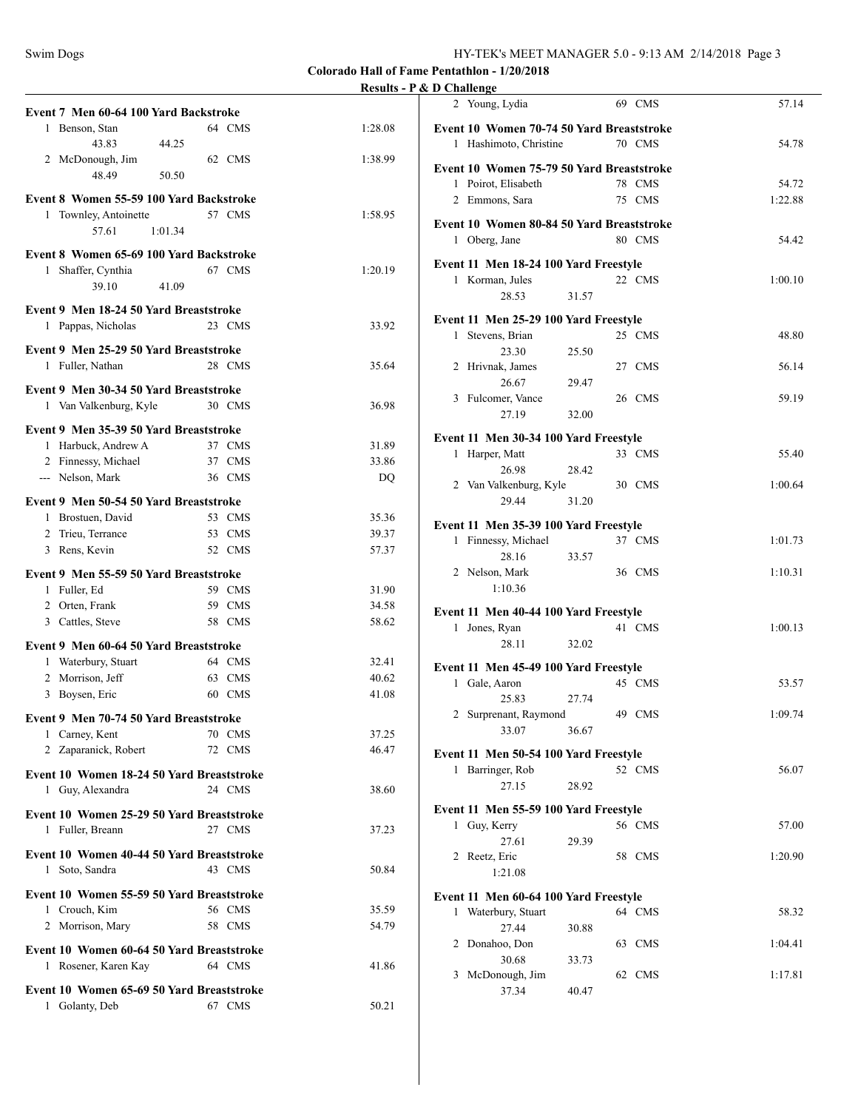|                                                               |        | KGulls - 1 & D |    |
|---------------------------------------------------------------|--------|----------------|----|
| Event 7 Men 60-64 100 Yard Backstroke                         |        |                |    |
| 1 Benson, Stan                                                | 64 CMS | 1:28.08        | E١ |
| 43.83<br>44.25                                                |        |                |    |
| 2 McDonough, Jim                                              | 62 CMS | 1:38.99        | E١ |
| 48.49<br>50.50                                                |        |                |    |
| Event 8 Women 55-59 100 Yard Backstroke                       |        |                |    |
| 1 Townley, Antoinette                                         | 57 CMS | 1:58.95        |    |
| 57.61<br>1:01.34                                              |        |                | E١ |
| Event 8 Women 65-69 100 Yard Backstroke                       |        |                |    |
| 1 Shaffer, Cynthia                                            | 67 CMS | 1:20.19        | E١ |
| 39.10<br>41.09                                                |        |                |    |
| Event 9 Men 18-24 50 Yard Breaststroke                        |        |                |    |
| 1 Pappas, Nicholas                                            | 23 CMS | 33.92          | E١ |
|                                                               |        |                |    |
| Event 9 Men 25-29 50 Yard Breaststroke                        |        |                |    |
| 1 Fuller, Nathan                                              | 28 CMS | 35.64          |    |
| Event 9 Men 30-34 50 Yard Breaststroke                        |        |                |    |
| 1 Van Valkenburg, Kyle                                        | 30 CMS | 36.98          |    |
|                                                               |        |                |    |
| Event 9 Men 35-39 50 Yard Breaststroke<br>1 Harbuck, Andrew A | 37 CMS | 31.89          | E١ |
| 2 Finnessy, Michael                                           | 37 CMS | 33.86          |    |
| --- Nelson, Mark                                              | 36 CMS | DQ             |    |
|                                                               |        |                |    |
| Event 9 Men 50-54 50 Yard Breaststroke                        |        |                |    |
| 1 Brostuen, David                                             | 53 CMS | 35.36          | E١ |
| 2 Trieu, Terrance                                             | 53 CMS | 39.37          |    |
| 3 Rens, Kevin                                                 | 52 CMS | 57.37          |    |
| Event 9 Men 55-59 50 Yard Breaststroke                        |        |                |    |
| 1 Fuller, Ed                                                  | 59 CMS | 31.90          |    |
| 2 Orten, Frank                                                | 59 CMS | 34.58          | E١ |
| 3 Cattles, Steve                                              | 58 CMS | 58.62          |    |
| Event 9 Men 60-64 50 Yard Breaststroke                        |        |                |    |
| 1 Waterbury, Stuart                                           | 64 CMS | 32.41          |    |
| 2 Morrison, Jeff                                              | 63 CMS | 40.62          | E١ |
| 3 Boysen, Eric                                                | 60 CMS | 41.08          |    |
|                                                               |        |                |    |
| Event 9 Men 70-74 50 Yard Breaststroke                        |        |                |    |
| 1 Carney, Kent                                                | 70 CMS | 37.25          |    |
| 2 Zaparanick, Robert                                          | 72 CMS | 46.47          | E١ |
| Event 10 Women 18-24 50 Yard Breaststroke                     |        |                |    |
| 1 Guy, Alexandra                                              | 24 CMS | 38.60          |    |
| Event 10 Women 25-29 50 Yard Breaststroke                     |        |                | E١ |
| 1 Fuller, Breann                                              | 27 CMS | 37.23          |    |
|                                                               |        |                |    |
| Event 10 Women 40-44 50 Yard Breaststroke                     |        |                |    |
| 1 Soto, Sandra                                                | 43 CMS | 50.84          |    |
| Event 10 Women 55-59 50 Yard Breaststroke                     |        |                | E١ |
| 1 Crouch, Kim                                                 | 56 CMS | 35.59          |    |
| 2 Morrison, Mary                                              | 58 CMS | 54.79          |    |
| Event 10 Women 60-64 50 Yard Breaststroke                     |        |                |    |
| 1 Rosener, Karen Kay                                          | 64 CMS | 41.86          |    |
|                                                               |        |                |    |
| Event 10 Women 65-69 50 Yard Breaststroke                     |        |                |    |
| 1 Golanty, Deb                                                | 67 CMS | 50.21          |    |
|                                                               |        |                |    |

|   | D Chanchge                                |       |    |            |         |
|---|-------------------------------------------|-------|----|------------|---------|
|   | 2 Young, Lydia                            |       |    | 69 CMS     | 57.14   |
|   | Event 10 Women 70-74 50 Yard Breaststroke |       |    |            |         |
|   | 1 Hashimoto, Christine                    |       |    | 70 CMS     | 54.78   |
|   | Event 10 Women 75-79 50 Yard Breaststroke |       |    |            |         |
|   | 1 Poirot, Elisabeth                       |       |    | 78 CMS     | 54.72   |
|   | 2 Emmons, Sara                            |       |    | 75 CMS     | 1:22.88 |
|   | Event 10 Women 80-84 50 Yard Breaststroke |       |    |            |         |
|   | 1 Oberg, Jane                             |       |    | 80 CMS     | 54.42   |
|   | Event 11 Men 18-24 100 Yard Freestyle     |       |    |            |         |
|   | 1 Korman, Jules                           |       |    | 22 CMS     | 1:00.10 |
|   | 28.53                                     | 31.57 |    |            |         |
|   | Event 11 Men 25-29 100 Yard Freestyle     |       |    |            |         |
| 1 | Stevens, Brian                            |       |    | 25 CMS     | 48.80   |
|   | 23.30                                     | 25.50 |    |            |         |
|   | 2 Hrivnak, James                          |       |    | 27 CMS     | 56.14   |
|   | 26.67                                     | 29.47 |    |            |         |
|   |                                           |       |    |            |         |
|   | 3 Fulcomer, Vance                         |       |    | 26 CMS     | 59.19   |
|   | 27.19                                     | 32.00 |    |            |         |
|   | Event 11 Men 30-34 100 Yard Freestyle     |       |    |            |         |
| 1 | Harper, Matt                              |       |    | 33 CMS     | 55.40   |
|   | 26.98                                     | 28.42 |    |            |         |
|   | 2 Van Valkenburg, Kyle                    |       |    | 30 CMS     | 1:00.64 |
|   | 29.44                                     | 31.20 |    |            |         |
|   |                                           |       |    |            |         |
|   | Event 11 Men 35-39 100 Yard Freestyle     |       |    |            |         |
|   | 1 Finnessy, Michael                       |       |    | 37 CMS     | 1:01.73 |
|   | 28.16                                     | 33.57 |    |            |         |
|   | 2 Nelson, Mark                            |       |    | 36 CMS     | 1:10.31 |
|   | 1:10.36                                   |       |    |            |         |
|   | Event 11 Men 40-44 100 Yard Freestyle     |       |    |            |         |
|   | 1 Jones, Ryan                             |       |    | 41 CMS     | 1:00.13 |
|   | 28.11                                     | 32.02 |    |            |         |
|   |                                           |       |    |            |         |
|   | Event 11 Men 45-49 100 Yard Freestyle     |       |    |            |         |
|   | 1 Gale, Aaron                             |       |    | 45 CMS     | 53.57   |
|   | 25.83                                     | 27.74 |    |            |         |
|   | 2 Surprenant, Raymond                     |       |    | 49 CMS     | 1:09.74 |
|   | 33.07                                     | 36.67 |    |            |         |
|   | Event 11 Men 50-54 100 Yard Freestyle     |       |    |            |         |
|   | 1 Barringer, Rob                          |       |    | 52 CMS     | 56.07   |
|   |                                           |       |    |            |         |
|   | 27.15                                     | 28.92 |    |            |         |
|   | Event 11 Men 55-59 100 Yard Freestyle     |       |    |            |         |
| 1 | Guy, Kerry                                |       |    | 56 CMS     | 57.00   |
|   | 27.61                                     | 29.39 |    |            |         |
|   | 2 Reetz, Eric                             |       |    | 58 CMS     | 1:20.90 |
|   | 1:21.08                                   |       |    |            |         |
|   |                                           |       |    |            |         |
|   | Event 11 Men 60-64 100 Yard Freestyle     |       |    | 64 CMS     |         |
| 1 | Waterbury, Stuart                         |       |    |            | 58.32   |
|   | 27.44                                     | 30.88 |    |            |         |
| 2 | Donahoo, Don                              |       | 63 | <b>CMS</b> | 1:04.41 |
|   | 30.68                                     | 33.73 |    |            |         |
| 3 | McDonough, Jim                            |       |    | 62 CMS     | 1:17.81 |
|   | 37.34                                     | 40.47 |    |            |         |
|   |                                           |       |    |            |         |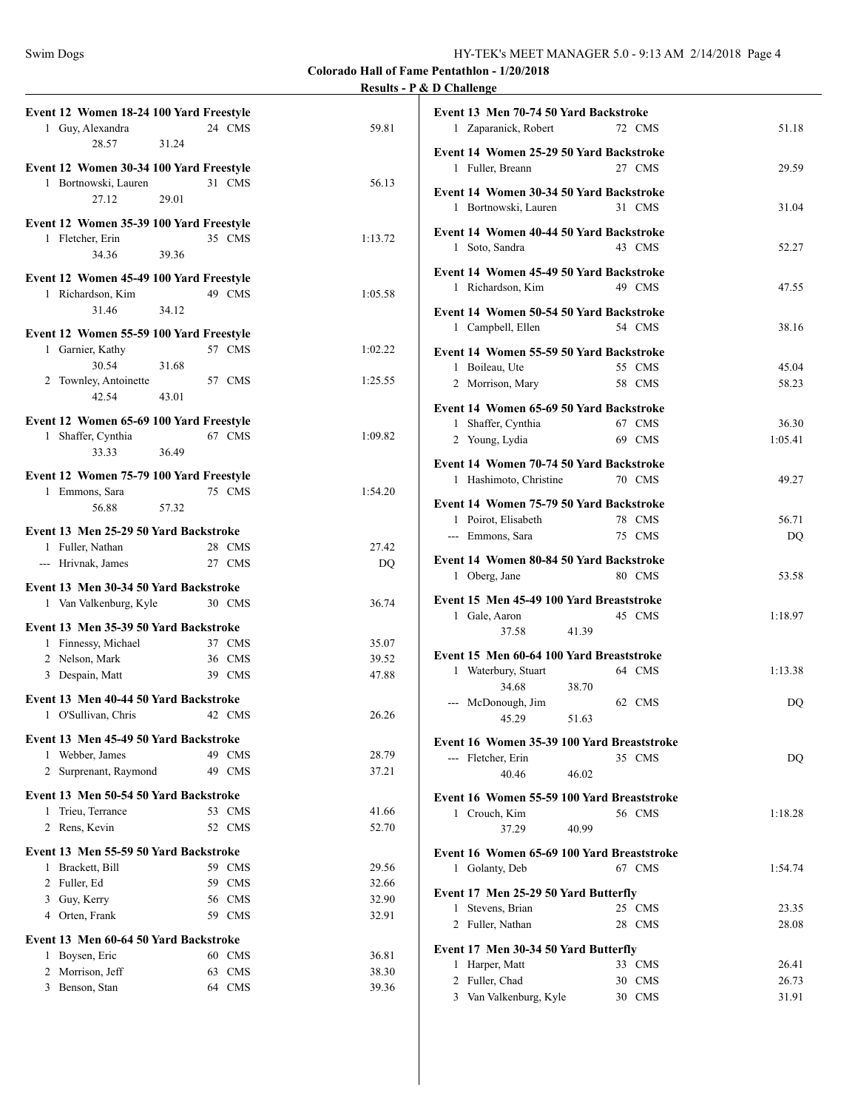|                                                                       |         | $\alpha$ D $\alpha$ manth <sub><math>\alpha</math></sub>                |         |
|-----------------------------------------------------------------------|---------|-------------------------------------------------------------------------|---------|
| Event 12 Women 18-24 100 Yard Freestyle<br>1 Guy, Alexandra<br>24 CMS | 59.81   | Event 13 Men 70-74 50 Yard Backstroke<br>1 Zaparanick, Robert<br>72 CMS | 51.18   |
| 28.57<br>31.24                                                        |         | Event 14 Women 25-29 50 Yard Backstroke                                 |         |
| Event 12 Women 30-34 100 Yard Freestyle                               |         | 1 Fuller, Breann<br>27 CMS                                              | 29.59   |
| 1 Bortnowski, Lauren<br>31 CMS                                        | 56.13   |                                                                         |         |
| 27.12<br>29.01                                                        |         | Event 14 Women 30-34 50 Yard Backstroke                                 |         |
|                                                                       |         | 1 Bortnowski, Lauren<br>31 CMS                                          | 31.04   |
| Event 12 Women 35-39 100 Yard Freestyle                               |         |                                                                         |         |
| 1 Fletcher, Erin<br>35 CMS                                            | 1:13.72 | Event 14 Women 40-44 50 Yard Backstroke                                 |         |
| 34.36<br>39.36                                                        |         | 1 Soto, Sandra<br>43 CMS                                                | 52.27   |
|                                                                       |         | Event 14 Women 45-49 50 Yard Backstroke                                 |         |
| Event 12 Women 45-49 100 Yard Freestyle                               |         | 49 CMS<br>1 Richardson, Kim                                             | 47.55   |
| 1 Richardson, Kim<br>49 CMS                                           | 1:05.58 |                                                                         |         |
| 31.46<br>34.12                                                        |         | Event 14 Women 50-54 50 Yard Backstroke                                 |         |
| Event 12 Women 55-59 100 Yard Freestyle                               |         | 1 Campbell, Ellen<br>54 CMS                                             | 38.16   |
| 57 CMS<br>1 Garnier, Kathy                                            | 1:02.22 | Event 14 Women 55-59 50 Yard Backstroke                                 |         |
| 31.68<br>30.54                                                        |         | 1 Boileau, Ute<br>55 CMS                                                |         |
| 57 CMS<br>2 Townley, Antoinette                                       | 1:25.55 |                                                                         | 45.04   |
|                                                                       |         | 2 Morrison, Mary<br>58 CMS                                              | 58.23   |
| 42.54<br>43.01                                                        |         | Event 14 Women 65-69 50 Yard Backstroke                                 |         |
| Event 12 Women 65-69 100 Yard Freestyle                               |         | 1 Shaffer, Cynthia<br>67 CMS                                            | 36.30   |
| 1 Shaffer, Cynthia<br>67 CMS                                          | 1:09.82 | 2 Young, Lydia<br>69 CMS                                                | 1:05.41 |
| 33.33<br>36.49                                                        |         |                                                                         |         |
|                                                                       |         | Event 14 Women 70-74 50 Yard Backstroke                                 |         |
| Event 12 Women 75-79 100 Yard Freestyle                               |         | 1 Hashimoto, Christine<br>70 CMS                                        | 49.27   |
| 1 Emmons, Sara<br>75 CMS                                              | 1:54.20 |                                                                         |         |
| 56.88<br>57.32                                                        |         | Event 14 Women 75-79 50 Yard Backstroke                                 |         |
| Event 13 Men 25-29 50 Yard Backstroke                                 |         | 1 Poirot, Elisabeth<br>78 CMS                                           | 56.71   |
| 1 Fuller, Nathan<br>28 CMS                                            | 27.42   | --- Emmons, Sara<br>75 CMS                                              | DQ      |
| --- Hrivnak, James<br>27 CMS                                          |         | Event 14 Women 80-84 50 Yard Backstroke                                 |         |
|                                                                       | DQ      | 1 Oberg, Jane<br>80 CMS                                                 | 53.58   |
| Event 13 Men 30-34 50 Yard Backstroke                                 |         |                                                                         |         |
| 1 Van Valkenburg, Kyle<br>30 CMS                                      | 36.74   | Event 15 Men 45-49 100 Yard Breaststroke                                |         |
|                                                                       |         | 1 Gale, Aaron<br>45 CMS                                                 | 1:18.97 |
| Event 13 Men 35-39 50 Yard Backstroke                                 |         | 41.39<br>37.58                                                          |         |
| 1 Finnessy, Michael<br>37 CMS                                         | 35.07   | Event 15 Men 60-64 100 Yard Breaststroke                                |         |
| 2 Nelson, Mark<br>36 CMS                                              | 39.52   | 64 CMS                                                                  | 1:13.38 |
| 3 Despain, Matt<br>39 CMS                                             | 47.88   | 1 Waterbury, Stuart                                                     |         |
| Event 13 Men 40-44 50 Yard Backstroke                                 |         | 38.70<br>34.68                                                          |         |
| 1 O'Sullivan, Chris<br>42 CMS                                         | 26.26   | --- McDonough, Jim<br>62 CMS                                            | DQ.     |
|                                                                       |         | 45.29<br>51.63                                                          |         |
| Event 13 Men 45-49 50 Yard Backstroke                                 |         | Event 16 Women 35-39 100 Yard Breaststroke                              |         |
| 1 Webber, James<br>49 CMS                                             | 28.79   | --- Fletcher, Erin<br>35 CMS                                            | DQ.     |
| 2 Surprenant, Raymond<br>49 CMS                                       | 37.21   | 40.46<br>46.02                                                          |         |
|                                                                       |         |                                                                         |         |
| Event 13 Men 50-54 50 Yard Backstroke                                 |         | Event 16 Women 55-59 100 Yard Breaststroke                              |         |
| 1 Trieu, Terrance<br>53 CMS                                           | 41.66   | 1 Crouch, Kim<br>56 CMS                                                 | 1:18.28 |
| 2 Rens, Kevin<br>52 CMS                                               | 52.70   | 37.29<br>40.99                                                          |         |
| Event 13 Men 55-59 50 Yard Backstroke                                 |         | Event 16 Women 65-69 100 Yard Breaststroke                              |         |
| 59 CMS<br>1 Brackett, Bill                                            | 29.56   | 1 Golanty, Deb<br>67 CMS                                                | 1:54.74 |
| 59 CMS<br>2 Fuller, Ed                                                | 32.66   |                                                                         |         |
| 3 Guy, Kerry<br>56 CMS                                                | 32.90   | Event 17 Men 25-29 50 Yard Butterfly                                    |         |
| 4 Orten, Frank<br>59 CMS                                              | 32.91   | 1 Stevens, Brian<br>25 CMS                                              | 23.35   |
|                                                                       |         | 2 Fuller, Nathan<br>28 CMS                                              | 28.08   |
| Event 13 Men 60-64 50 Yard Backstroke                                 |         |                                                                         |         |
| 1 Boysen, Eric<br>60 CMS                                              | 36.81   | Event 17 Men 30-34 50 Yard Butterfly                                    |         |
| 2 Morrison, Jeff<br>63 CMS                                            | 38.30   | 1 Harper, Matt<br>33 CMS                                                | 26.41   |
| 3 Benson, Stan<br>64 CMS                                              | 39.36   | 2 Fuller, Chad<br>30 CMS                                                | 26.73   |
|                                                                       |         | 3 Van Valkenburg, Kyle<br>30 CMS                                        | 31.91   |
|                                                                       |         |                                                                         |         |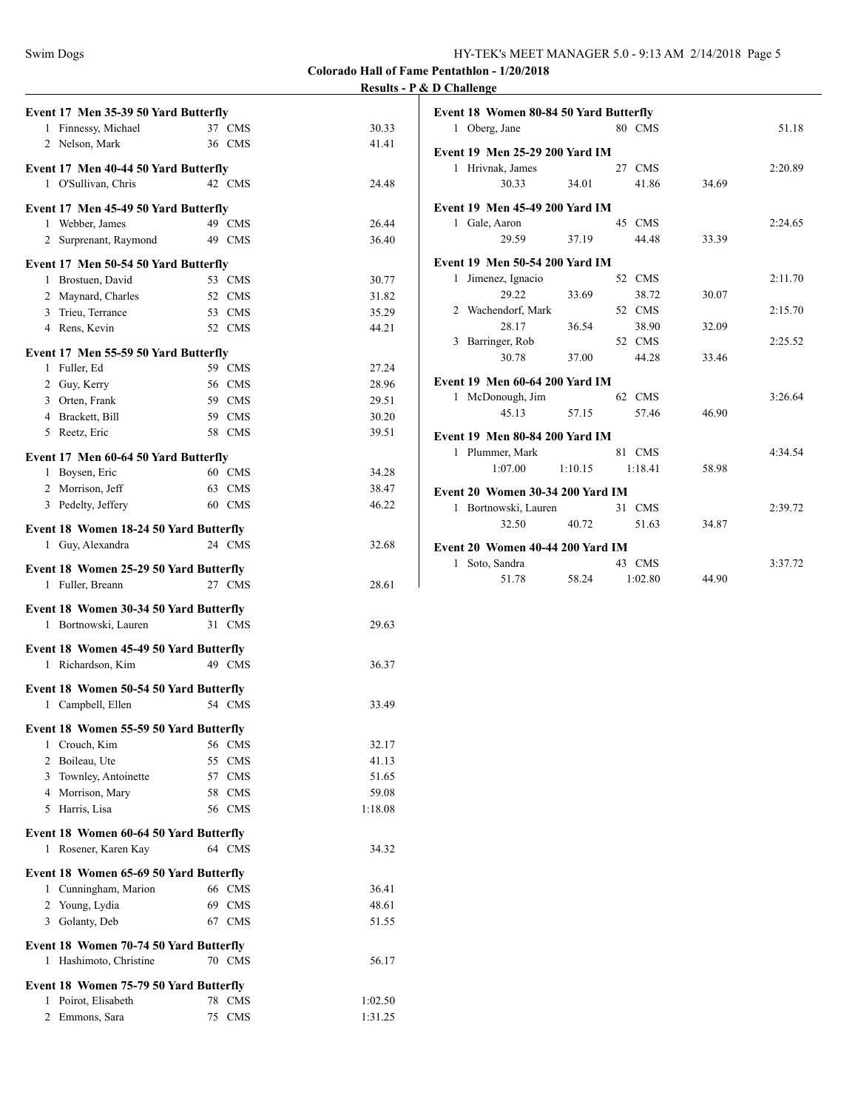| Event 17 Men 35-39 50 Yard Butterfly                           |                  |                |
|----------------------------------------------------------------|------------------|----------------|
| 1 Finnessy, Michael                                            | 37 CMS           | 30.33          |
| 2 Nelson, Mark                                                 | 36 CMS           | 41.41          |
| Event 17 Men 40-44 50 Yard Butterfly                           |                  |                |
| 1 O'Sullivan, Chris                                            | 42 CMS           | 24.48          |
| Event 17 Men 45-49 50 Yard Butterfly                           |                  |                |
| 1 Webber, James                                                | 49 CMS           | 26.44          |
| 2 Surprenant, Raymond                                          | 49 CMS           | 36.40          |
|                                                                |                  |                |
| Event 17 Men 50-54 50 Yard Butterfly                           | 53 CMS           |                |
| 1 Brostuen, David<br>2 Maynard, Charles                        | 52 CMS           | 30.77<br>31.82 |
| 3 Trieu, Terrance                                              | 53 CMS           | 35.29          |
| 4 Rens, Kevin                                                  | 52 CMS           | 44.21          |
|                                                                |                  |                |
| Event 17 Men 55-59 50 Yard Butterfly                           |                  |                |
| 1 Fuller, Ed                                                   | 59 CMS<br>56 CMS | 27.24          |
| 2 Guy, Kerry<br>3 Orten, Frank                                 | 59 CMS           | 28.96<br>29.51 |
| 4 Brackett, Bill                                               | 59 CMS           | 30.20          |
| 5 Reetz, Eric                                                  | 58 CMS           | 39.51          |
|                                                                |                  |                |
| Event 17 Men 60-64 50 Yard Butterfly                           |                  |                |
| 1 Boysen, Eric                                                 | 60 CMS           | 34.28          |
| 2 Morrison, Jeff                                               | 63 CMS           | 38.47          |
| 3 Pedelty, Jeffery                                             | 60 CMS           | 46.22          |
| Event 18 Women 18-24 50 Yard Butterfly                         |                  |                |
| 1 Guy, Alexandra                                               | 24 CMS           | 32.68          |
| Event 18 Women 25-29 50 Yard Butterfly                         |                  |                |
| 1 Fuller, Breann                                               | 27 CMS           | 28.61          |
| Event 18 Women 30-34 50 Yard Butterfly                         |                  |                |
| 1 Bortnowski, Lauren                                           | 31 CMS           | 29.63          |
|                                                                |                  |                |
| Event 18 Women 45-49 50 Yard Butterfly                         |                  |                |
| 1 Richardson, Kim                                              | 49 CMS           | 36.37          |
| Event 18 Women 50-54 50 Yard Butterfly                         |                  |                |
| 1 Campbell, Ellen                                              | 54 CMS           | 33.49          |
| Event 18 Women 55-59 50 Yard Butterfly                         |                  |                |
| 1 Crouch, Kim                                                  | 56 CMS           | 32.17          |
| $\overline{2}$<br>Boileau, Ute                                 | 55 CMS           | 41.13          |
| Townley, Antoinette<br>3                                       | 57 CMS           | 51.65          |
| Morrison, Mary<br>$\overline{4}$                               | 58 CMS           | 59.08          |
| Harris, Lisa<br>5                                              | 56 CMS           | 1:18.08        |
| Event 18 Women 60-64 50 Yard Butterfly                         |                  |                |
| 1 Rosener, Karen Kay                                           | 64 CMS           | 34.32          |
|                                                                |                  |                |
| Event 18 Women 65-69 50 Yard Butterfly<br>1 Cunningham, Marion | 66 CMS           | 36.41          |
| Young, Lydia<br>$\overline{2}$                                 | 69 CMS           | 48.61          |
| Golanty, Deb<br>3                                              | 67 CMS           | 51.55          |
|                                                                |                  |                |
| Event 18 Women 70-74 50 Yard Butterfly                         |                  |                |
| Hashimoto, Christine<br>1                                      | 70 CMS           | 56.17          |
| Event 18 Women 75-79 50 Yard Butterfly                         |                  |                |
| Poirot, Elisabeth<br>1                                         | 78<br><b>CMS</b> | 1:02.50        |
| $\overline{2}$<br>Emmons, Sara                                 | <b>CMS</b><br>75 | 1:31.25        |

| Event 18 Women 80-84 50 Yard Butterfly |         |         |       |         |
|----------------------------------------|---------|---------|-------|---------|
| 1 Oberg, Jane                          |         | 80 CMS  |       | 51.18   |
| <b>Event 19 Men 25-29 200 Yard IM</b>  |         |         |       |         |
| 1 Hrivnak, James                       |         | 27 CMS  |       | 2:20.89 |
| 30.33                                  | 34.01   | 41.86   | 34.69 |         |
| Event 19 Men 45-49 200 Yard IM         |         |         |       |         |
| Gale, Aaron<br>1                       |         | 45 CMS  |       | 2:24.65 |
| 29.59                                  | 37.19   | 44.48   | 33.39 |         |
| Event 19 Men 50-54 200 Yard IM         |         |         |       |         |
| 1 Jimenez, Ignacio                     |         | 52 CMS  |       | 2:11.70 |
| 29.22                                  | 33.69   | 38.72   | 30.07 |         |
| 2 Wachendorf, Mark                     |         | 52 CMS  |       | 2:15.70 |
| 28.17                                  | 36.54   | 38.90   | 32.09 |         |
| Barringer, Rob<br>3                    |         | 52 CMS  |       | 2:25.52 |
| 30.78                                  | 37.00   | 44.28   | 33.46 |         |
| <b>Event 19 Men 60-64 200 Yard IM</b>  |         |         |       |         |
| 1 McDonough, Jim                       |         | 62 CMS  |       | 3:26.64 |
| 45.13                                  | 57.15   | 57.46   | 46.90 |         |
| Event 19 Men 80-84 200 Yard IM         |         |         |       |         |
| Plummer, Mark<br>$\mathbf{1}$          |         | 81 CMS  |       | 4:34.54 |
| 1:07.00                                | 1:10.15 | 1:18.41 | 58.98 |         |
| Event 20 Women 30-34 200 Yard IM       |         |         |       |         |
| 1 Bortnowski, Lauren                   |         | 31 CMS  |       | 2:39.72 |
| 32.50                                  | 40.72   | 51.63   | 34.87 |         |
| Event 20 Women 40-44 200 Yard IM       |         |         |       |         |
| Soto, Sandra<br>1                      |         | 43 CMS  |       | 3:37.72 |
| 51.78                                  | 58.24   | 1:02.80 | 44.90 |         |